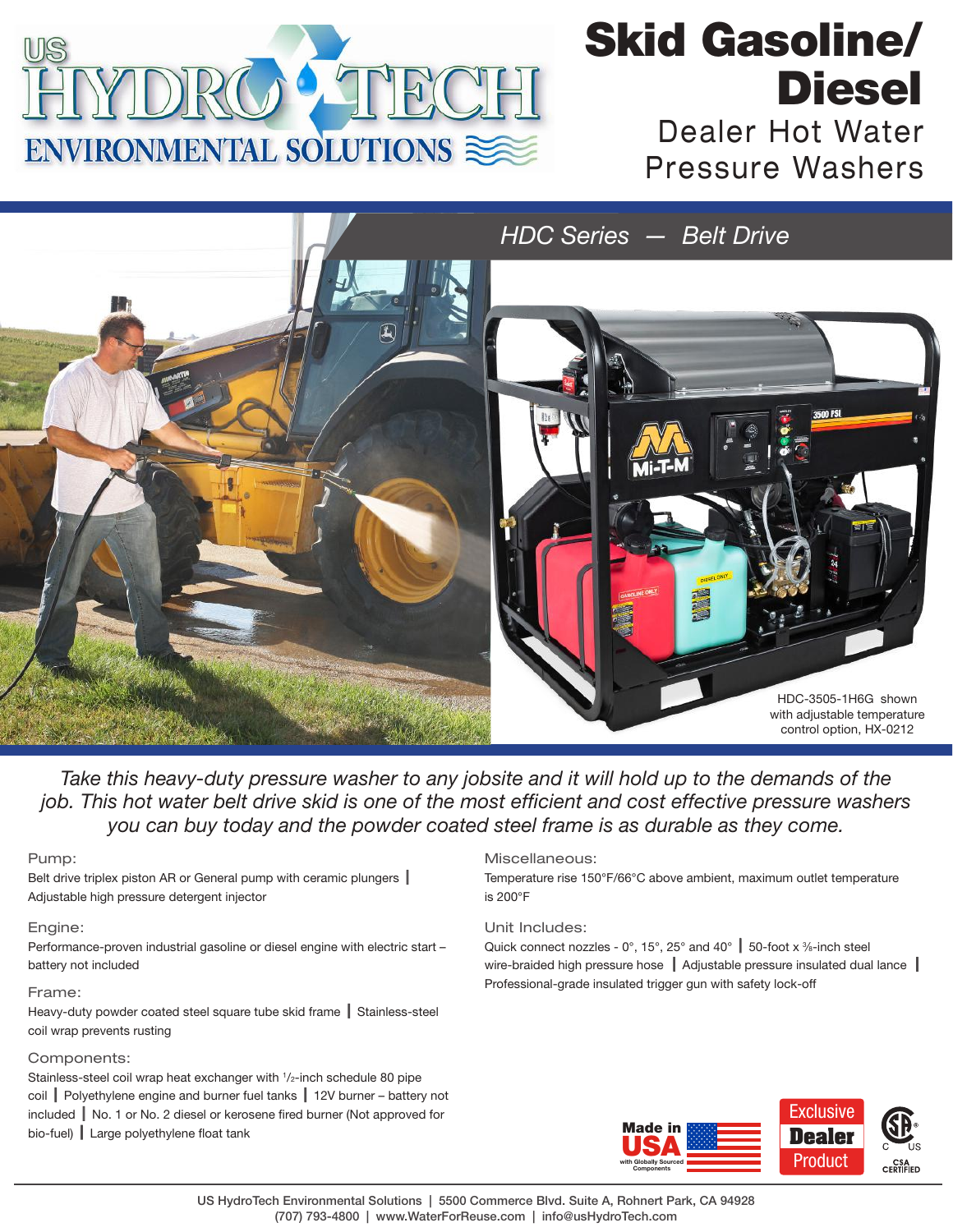

## Dealer Hot Water Pressure Washers Skid Gasoline/ **Diesel**



*Take this heavy-duty pressure washer to any jobsite and it will hold up to the demands of the job. This hot water belt drive skid is one of the most efficient and cost effective pressure washers you can buy today and the powder coated steel frame is as durable as they come.* 

Pump:

Belt drive triplex piston AR or General pump with ceramic plungers | Adjustable high pressure detergent injector

### Engine:

Performance-proven industrial gasoline or diesel engine with electric start – battery not included

### Frame:

Heavy-duty powder coated steel square tube skid frame | Stainless-steel coil wrap prevents rusting

### Components:

Stainless-steel coil wrap heat exchanger with 1 /2-inch schedule 80 pipe coil | Polyethylene engine and burner fuel tanks  $\parallel$  12V burner – battery not included  $\parallel$  No. 1 or No. 2 diesel or kerosene fired burner (Not approved for  $bio-fuel)$  Large polyethylene float tank

### Miscellaneous:

Temperature rise 150°F/66°C above ambient, maximum outlet temperature is 200°F

Unit Includes:

Quick connect nozzles - 0°, 15°, 25° and 40°  $\vert$  50-foot x %-inch steel wire-braided high pressure hose  $\parallel$  Adjustable pressure insulated dual lance  $\parallel$ Professional-grade insulated trigger gun with safety lock-off



US HydroTech Environmental Solutions | 5500 Commerce Blvd. Suite A, Rohnert Park, CA 94928 (707) 793-4800 | www.WaterForReuse.com | info@usHydroTech.com *Decal Part No. :* 34-3553 (revised material/adhesive 2-15-17)